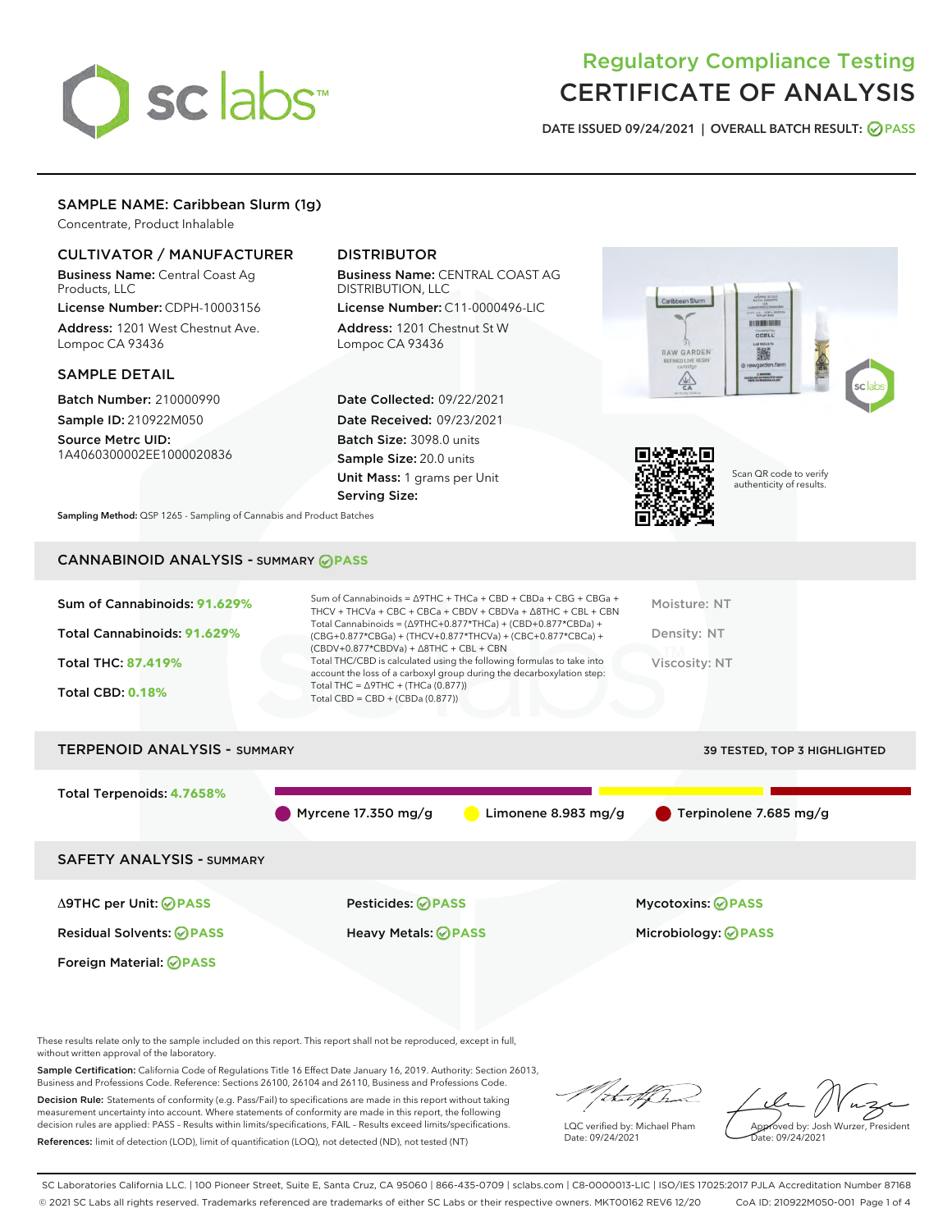# sclabs<sup>\*</sup>

# Regulatory Compliance Testing CERTIFICATE OF ANALYSIS

DATE ISSUED 09/24/2021 | OVERALL BATCH RESULT: @ PASS

# SAMPLE NAME: Caribbean Slurm (1g)

Concentrate, Product Inhalable

# CULTIVATOR / MANUFACTURER

Business Name: Central Coast Ag Products, LLC

License Number: CDPH-10003156 Address: 1201 West Chestnut Ave. Lompoc CA 93436

#### SAMPLE DETAIL

Batch Number: 210000990 Sample ID: 210922M050

Source Metrc UID: 1A4060300002EE1000020836

# DISTRIBUTOR

Business Name: CENTRAL COAST AG DISTRIBUTION, LLC

License Number: C11-0000496-LIC Address: 1201 Chestnut St W Lompoc CA 93436

Date Collected: 09/22/2021 Date Received: 09/23/2021 Batch Size: 3098.0 units Sample Size: 20.0 units Unit Mass: 1 grams per Unit Serving Size:





Scan QR code to verify authenticity of results.

Sampling Method: QSP 1265 - Sampling of Cannabis and Product Batches

# CANNABINOID ANALYSIS - SUMMARY **PASS**

| Sum of Cannabinoids: 91.629%<br>Total Cannabinoids: 91.629%<br><b>Total THC: 87.419%</b><br><b>Total CBD: 0.18%</b> | Sum of Cannabinoids = $\triangle$ 9THC + THCa + CBD + CBDa + CBG + CBGa +<br>THCV + THCVa + CBC + CBCa + CBDV + CBDVa + $\triangle$ 8THC + CBL + CBN<br>Total Cannabinoids = $(\Delta$ 9THC+0.877*THCa) + (CBD+0.877*CBDa) +<br>(CBG+0.877*CBGa) + (THCV+0.877*THCVa) + (CBC+0.877*CBCa) +<br>$(CBDV+0.877*CBDVa) + \Delta 8THC + CBL + CBN$<br>Total THC/CBD is calculated using the following formulas to take into<br>account the loss of a carboxyl group during the decarboxylation step:<br>Total THC = $\triangle$ 9THC + (THCa (0.877))<br>Total CBD = $CBD + (CBDa (0.877))$ | Moisture: NT<br>Density: NT<br>Viscosity: NT |
|---------------------------------------------------------------------------------------------------------------------|---------------------------------------------------------------------------------------------------------------------------------------------------------------------------------------------------------------------------------------------------------------------------------------------------------------------------------------------------------------------------------------------------------------------------------------------------------------------------------------------------------------------------------------------------------------------------------------|----------------------------------------------|
| <b>TERPENOID ANALYSIS - SUMMARY</b>                                                                                 |                                                                                                                                                                                                                                                                                                                                                                                                                                                                                                                                                                                       | <b>39 TESTED, TOP 3 HIGHLIGHTED</b>          |
|                                                                                                                     |                                                                                                                                                                                                                                                                                                                                                                                                                                                                                                                                                                                       |                                              |
| Total Terpenoids: 4.7658%                                                                                           | Limonene 8.983 mg/g<br>Myrcene 17.350 mg/g                                                                                                                                                                                                                                                                                                                                                                                                                                                                                                                                            | Terpinolene 7.685 mg/g                       |

SAFETY ANALYSIS - SUMMARY

Δ9THC per Unit: **PASS** Pesticides: **PASS** Mycotoxins: **PASS**

Foreign Material: **PASS**

Residual Solvents: **PASS** Heavy Metals: **PASS** Microbiology: **PASS**

These results relate only to the sample included on this report. This report shall not be reproduced, except in full, without written approval of the laboratory.

Sample Certification: California Code of Regulations Title 16 Effect Date January 16, 2019. Authority: Section 26013, Business and Professions Code. Reference: Sections 26100, 26104 and 26110, Business and Professions Code.

Decision Rule: Statements of conformity (e.g. Pass/Fail) to specifications are made in this report without taking measurement uncertainty into account. Where statements of conformity are made in this report, the following decision rules are applied: PASS – Results within limits/specifications, FAIL – Results exceed limits/specifications. References: limit of detection (LOD), limit of quantification (LOQ), not detected (ND), not tested (NT)

that f ha

LQC verified by: Michael Pham Date: 09/24/2021

Approved by: Josh Wurzer, President ate: 09/24/2021

SC Laboratories California LLC. | 100 Pioneer Street, Suite E, Santa Cruz, CA 95060 | 866-435-0709 | sclabs.com | C8-0000013-LIC | ISO/IES 17025:2017 PJLA Accreditation Number 87168 © 2021 SC Labs all rights reserved. Trademarks referenced are trademarks of either SC Labs or their respective owners. MKT00162 REV6 12/20 CoA ID: 210922M050-001 Page 1 of 4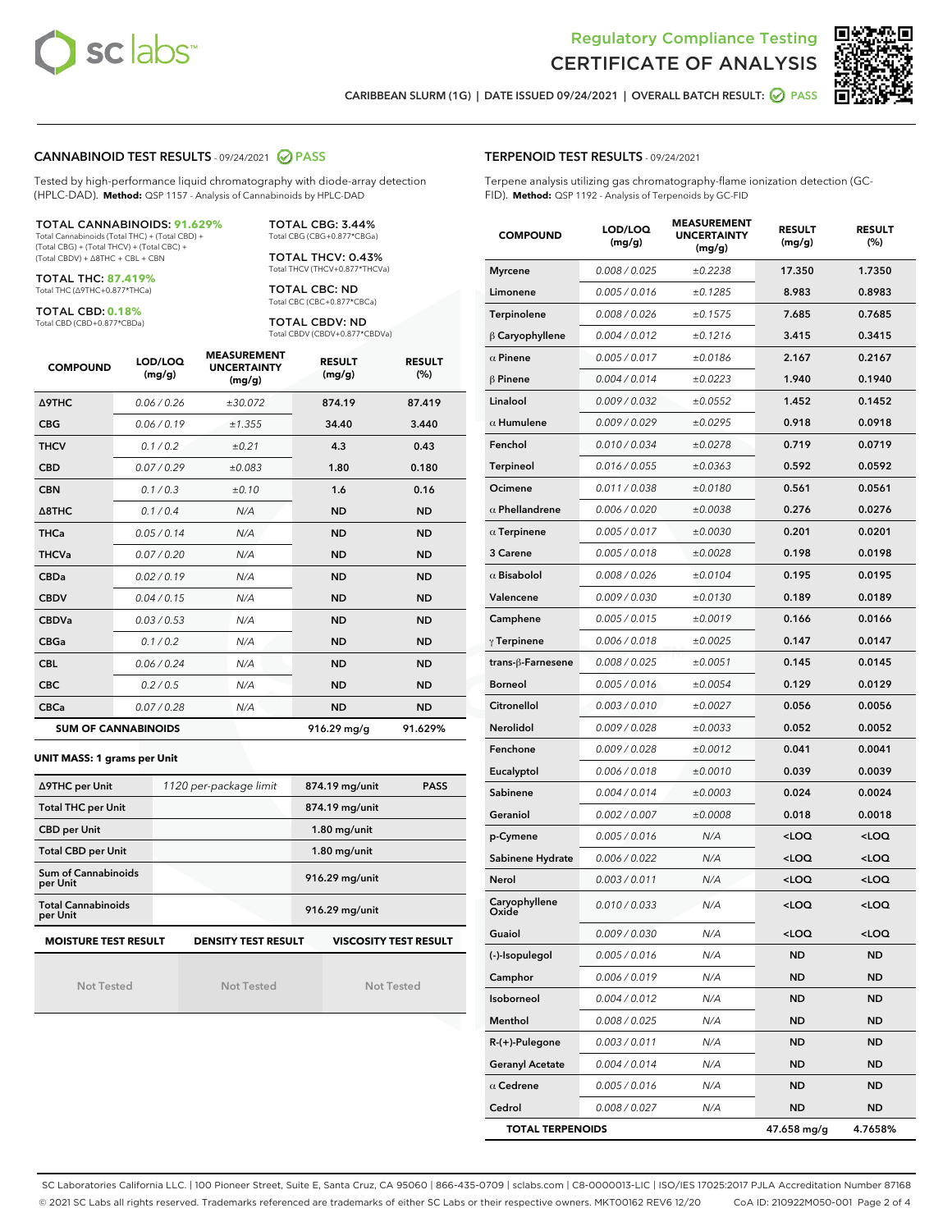



CARIBBEAN SLURM (1G) | DATE ISSUED 09/24/2021 | OVERALL BATCH RESULT: @ PASS

#### CANNABINOID TEST RESULTS - 09/24/2021 2 PASS

Tested by high-performance liquid chromatography with diode-array detection (HPLC-DAD). **Method:** QSP 1157 - Analysis of Cannabinoids by HPLC-DAD

#### TOTAL CANNABINOIDS: **91.629%**

Total Cannabinoids (Total THC) + (Total CBD) + (Total CBG) + (Total THCV) + (Total CBC) + (Total CBDV) + ∆8THC + CBL + CBN

TOTAL THC: **87.419%** Total THC (∆9THC+0.877\*THCa)

TOTAL CBD: **0.18%**

Total CBD (CBD+0.877\*CBDa)

TOTAL CBG: 3.44% Total CBG (CBG+0.877\*CBGa)

TOTAL THCV: 0.43% Total THCV (THCV+0.877\*THCVa)

TOTAL CBC: ND Total CBC (CBC+0.877\*CBCa)

TOTAL CBDV: ND Total CBDV (CBDV+0.877\*CBDVa)

| <b>COMPOUND</b>  | LOD/LOQ<br>(mg/g)          | <b>MEASUREMENT</b><br><b>UNCERTAINTY</b><br>(mg/g) | <b>RESULT</b><br>(mg/g) | <b>RESULT</b><br>(%) |
|------------------|----------------------------|----------------------------------------------------|-------------------------|----------------------|
| <b>A9THC</b>     | 0.06 / 0.26                | ±30.072                                            | 874.19                  | 87.419               |
| <b>CBG</b>       | 0.06/0.19                  | ±1.355                                             | 34.40                   | 3.440                |
| <b>THCV</b>      | 0.1 / 0.2                  | ±0.21                                              | 4.3                     | 0.43                 |
| <b>CBD</b>       | 0.07/0.29                  | ±0.083                                             | 1.80                    | 0.180                |
| <b>CBN</b>       | 0.1/0.3                    | ±0.10                                              | 1.6                     | 0.16                 |
| $\triangle$ 8THC | 0.1/0.4                    | N/A                                                | <b>ND</b>               | <b>ND</b>            |
| <b>THCa</b>      | 0.05/0.14                  | N/A                                                | <b>ND</b>               | <b>ND</b>            |
| <b>THCVa</b>     | 0.07/0.20                  | N/A                                                | <b>ND</b>               | <b>ND</b>            |
| <b>CBDa</b>      | 0.02 / 0.19                | N/A                                                | <b>ND</b>               | <b>ND</b>            |
| <b>CBDV</b>      | 0.04 / 0.15                | N/A                                                | <b>ND</b>               | <b>ND</b>            |
| <b>CBDVa</b>     | 0.03/0.53                  | N/A                                                | <b>ND</b>               | <b>ND</b>            |
| <b>CBGa</b>      | 0.1/0.2                    | N/A                                                | <b>ND</b>               | <b>ND</b>            |
| <b>CBL</b>       | 0.06 / 0.24                | N/A                                                | <b>ND</b>               | <b>ND</b>            |
| <b>CBC</b>       | 0.2 / 0.5                  | N/A                                                | <b>ND</b>               | <b>ND</b>            |
| <b>CBCa</b>      | 0.07/0.28                  | N/A                                                | <b>ND</b>               | <b>ND</b>            |
|                  | <b>SUM OF CANNABINOIDS</b> |                                                    | 916.29 mg/g             | 91.629%              |

#### **UNIT MASS: 1 grams per Unit**

| ∆9THC per Unit                        | 1120 per-package limit     | 874.19 mg/unit<br><b>PASS</b> |
|---------------------------------------|----------------------------|-------------------------------|
| <b>Total THC per Unit</b>             |                            | 874.19 mg/unit                |
| <b>CBD per Unit</b>                   |                            | $1.80$ mg/unit                |
| <b>Total CBD per Unit</b>             |                            | $1.80$ mg/unit                |
| Sum of Cannabinoids<br>per Unit       |                            | 916.29 mg/unit                |
| <b>Total Cannabinoids</b><br>per Unit |                            | 916.29 mg/unit                |
| <b>MOISTURE TEST RESULT</b>           | <b>DENSITY TEST RESULT</b> | <b>VISCOSITY TEST RESULT</b>  |

Not Tested

| <b>Not Tested</b> |  |
|-------------------|--|

Not Tested

TERPENOID TEST RESULTS - 09/24/2021

Terpene analysis utilizing gas chromatography-flame ionization detection (GC-FID). **Method:** QSP 1192 - Analysis of Terpenoids by GC-FID

| <b>COMPOUND</b>               | LOD/LOQ<br>(mg/g) | <b>MEASUREMENT</b><br><b>UNCERTAINTY</b><br>(mg/g) | <b>RESULT</b><br>(mg/g)                         | <b>RESULT</b><br>(%) |
|-------------------------------|-------------------|----------------------------------------------------|-------------------------------------------------|----------------------|
| <b>Myrcene</b>                | 0.008 / 0.025     | ±0.2238                                            | 17.350                                          | 1.7350               |
| Limonene                      | 0.005 / 0.016     | ±0.1285                                            | 8.983                                           | 0.8983               |
| Terpinolene                   | 0.008 / 0.026     | ±0.1575                                            | 7.685                                           | 0.7685               |
| $\upbeta$ Caryophyllene       | 0.004 / 0.012     | ±0.1216                                            | 3.415                                           | 0.3415               |
| $\alpha$ Pinene               | 0.005 / 0.017     | ±0.0186                                            | 2.167                                           | 0.2167               |
| $\beta$ Pinene                | 0.004 / 0.014     | ±0.0223                                            | 1.940                                           | 0.1940               |
| Linalool                      | 0.009 / 0.032     | ±0.0552                                            | 1.452                                           | 0.1452               |
| $\alpha$ Humulene             | 0.009/0.029       | ±0.0295                                            | 0.918                                           | 0.0918               |
| Fenchol                       | 0.010 / 0.034     | ±0.0278                                            | 0.719                                           | 0.0719               |
| <b>Terpineol</b>              | 0.016 / 0.055     | ±0.0363                                            | 0.592                                           | 0.0592               |
| Ocimene                       | 0.011 / 0.038     | ±0.0180                                            | 0.561                                           | 0.0561               |
| $\alpha$ Phellandrene         | 0.006 / 0.020     | ±0.0038                                            | 0.276                                           | 0.0276               |
| $\alpha$ Terpinene            | 0.005 / 0.017     | ±0.0030                                            | 0.201                                           | 0.0201               |
| 3 Carene                      | 0.005 / 0.018     | ±0.0028                                            | 0.198                                           | 0.0198               |
| $\alpha$ Bisabolol            | 0.008 / 0.026     | ±0.0104                                            | 0.195                                           | 0.0195               |
| Valencene                     | 0.009 / 0.030     | ±0.0130                                            | 0.189                                           | 0.0189               |
| Camphene                      | 0.005 / 0.015     | ±0.0019                                            | 0.166                                           | 0.0166               |
| $\gamma$ Terpinene            | 0.006 / 0.018     | ±0.0025                                            | 0.147                                           | 0.0147               |
| trans-β-Farnesene             | 0.008 / 0.025     | ±0.0051                                            | 0.145                                           | 0.0145               |
| <b>Borneol</b>                | 0.005 / 0.016     | ±0.0054                                            | 0.129                                           | 0.0129               |
| Citronellol                   | 0.003 / 0.010     | ±0.0027                                            | 0.056                                           | 0.0056               |
| Nerolidol                     | 0.009 / 0.028     | ±0.0033                                            | 0.052                                           | 0.0052               |
| Fenchone                      | 0.009 / 0.028     | ±0.0012                                            | 0.041                                           | 0.0041               |
| Eucalyptol                    | 0.006 / 0.018     | ±0.0010                                            | 0.039                                           | 0.0039               |
| Sabinene                      | 0.004 / 0.014     | ±0.0003                                            | 0.024                                           | 0.0024               |
| Geraniol                      | 0.002 / 0.007     | ±0.0008                                            | 0.018                                           | 0.0018               |
| p-Cymene                      | 0.005 / 0.016     | N/A                                                | <loq< th=""><th><loq< th=""></loq<></th></loq<> | <loq< th=""></loq<>  |
| Sabinene Hydrate              | 0.006 / 0.022     | N/A                                                | <loq< th=""><th><loq< th=""></loq<></th></loq<> | <loq< th=""></loq<>  |
| Nerol                         | 0.003 / 0.011     | N/A                                                | <loq< th=""><th><loq< th=""></loq<></th></loq<> | <loq< th=""></loq<>  |
| Caryophyllene<br><b>Dxide</b> | 0.010 / 0.033     | N/A                                                | $<$ LOQ                                         | <loq< th=""></loq<>  |
| Guaiol                        | 0.009 / 0.030     | N/A                                                | <loq< th=""><th><loq< th=""></loq<></th></loq<> | <loq< th=""></loq<>  |
| (-)-Isopulegol                | 0.005 / 0.016     | N/A                                                | ND                                              | ND                   |
| Camphor                       | 0.006 / 0.019     | N/A                                                | <b>ND</b>                                       | <b>ND</b>            |
| Isoborneol                    | 0.004 / 0.012     | N/A                                                | <b>ND</b>                                       | ND                   |
| Menthol                       | 0.008 / 0.025     | N/A                                                | ND                                              | ND                   |
| $R-(+)$ -Pulegone             | 0.003 / 0.011     | N/A                                                | <b>ND</b>                                       | <b>ND</b>            |
| <b>Geranyl Acetate</b>        | 0.004 / 0.014     | N/A                                                | <b>ND</b>                                       | ND                   |
| $\alpha$ Cedrene              | 0.005 / 0.016     | N/A                                                | ND                                              | ND                   |
| Cedrol                        | 0.008 / 0.027     | N/A                                                | <b>ND</b>                                       | ND                   |
| <b>TOTAL TERPENOIDS</b>       |                   |                                                    | 47.658 mg/g                                     | 4.7658%              |

SC Laboratories California LLC. | 100 Pioneer Street, Suite E, Santa Cruz, CA 95060 | 866-435-0709 | sclabs.com | C8-0000013-LIC | ISO/IES 17025:2017 PJLA Accreditation Number 87168 © 2021 SC Labs all rights reserved. Trademarks referenced are trademarks of either SC Labs or their respective owners. MKT00162 REV6 12/20 CoA ID: 210922M050-001 Page 2 of 4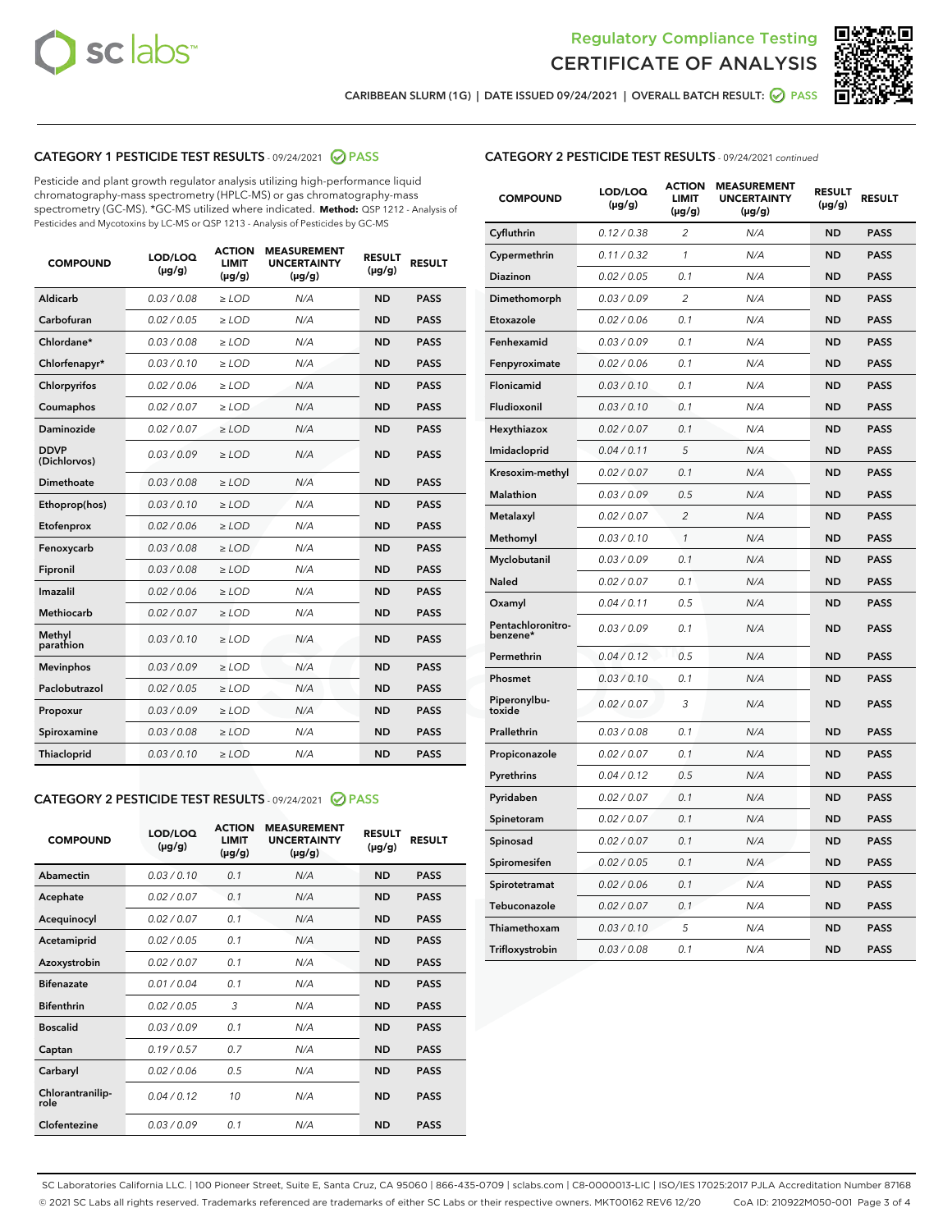



CARIBBEAN SLURM (1G) | DATE ISSUED 09/24/2021 | OVERALL BATCH RESULT: @ PASS

# CATEGORY 1 PESTICIDE TEST RESULTS - 09/24/2021 2 PASS

Pesticide and plant growth regulator analysis utilizing high-performance liquid chromatography-mass spectrometry (HPLC-MS) or gas chromatography-mass spectrometry (GC-MS). \*GC-MS utilized where indicated. **Method:** QSP 1212 - Analysis of Pesticides and Mycotoxins by LC-MS or QSP 1213 - Analysis of Pesticides by GC-MS

| <b>COMPOUND</b>             | LOD/LOQ<br>$(\mu g/g)$ | <b>ACTION</b><br><b>LIMIT</b><br>$(\mu g/g)$ | <b>MEASUREMENT</b><br><b>UNCERTAINTY</b><br>$(\mu g/g)$ | <b>RESULT</b><br>$(\mu g/g)$ | <b>RESULT</b> |  |
|-----------------------------|------------------------|----------------------------------------------|---------------------------------------------------------|------------------------------|---------------|--|
| Aldicarb                    | 0.03 / 0.08            | $\ge$ LOD                                    | N/A                                                     | <b>ND</b>                    | <b>PASS</b>   |  |
| Carbofuran                  | 0.02 / 0.05            | ≥ LOD                                        | N/A                                                     | <b>ND</b>                    | <b>PASS</b>   |  |
| Chlordane*                  | 0.03 / 0.08            | ≥ LOD                                        | N/A                                                     | <b>ND</b>                    | <b>PASS</b>   |  |
| Chlorfenapyr*               | 0.03/0.10              | $>$ LOD                                      | N/A                                                     | <b>ND</b>                    | <b>PASS</b>   |  |
| Chlorpyrifos                | 0.02 / 0.06            | $\ge$ LOD                                    | N/A                                                     | <b>ND</b>                    | <b>PASS</b>   |  |
| Coumaphos                   | 0.02 / 0.07            | $>$ LOD                                      | N/A                                                     | <b>ND</b>                    | <b>PASS</b>   |  |
| Daminozide                  | 0.02 / 0.07            | $>$ LOD                                      | N/A                                                     | <b>ND</b>                    | <b>PASS</b>   |  |
| <b>DDVP</b><br>(Dichlorvos) | 0.03/0.09              | $\ge$ LOD                                    | N/A                                                     | <b>ND</b>                    | <b>PASS</b>   |  |
| <b>Dimethoate</b>           | 0.03 / 0.08            | $\geq$ LOD                                   | N/A                                                     | <b>ND</b>                    | <b>PASS</b>   |  |
| Ethoprop(hos)               | 0.03/0.10              | $>$ LOD                                      | N/A                                                     | <b>ND</b>                    | <b>PASS</b>   |  |
| Etofenprox                  | 0.02 / 0.06            | $\ge$ LOD                                    | N/A                                                     | <b>ND</b>                    | <b>PASS</b>   |  |
| Fenoxycarb                  | 0.03 / 0.08            | $\geq$ LOD                                   | N/A                                                     | <b>ND</b>                    | <b>PASS</b>   |  |
| Fipronil                    | 0.03 / 0.08            | $\geq$ LOD                                   | N/A                                                     | <b>ND</b>                    | <b>PASS</b>   |  |
| Imazalil                    | 0.02 / 0.06            | $\geq$ LOD                                   | N/A                                                     | <b>ND</b>                    | <b>PASS</b>   |  |
| Methiocarb                  | 0.02 / 0.07            | $>$ LOD                                      | N/A                                                     | <b>ND</b>                    | <b>PASS</b>   |  |
| Methyl<br>parathion         | 0.03/0.10              | $\geq$ LOD                                   | N/A                                                     | <b>ND</b>                    | <b>PASS</b>   |  |
| <b>Mevinphos</b>            | 0.03/0.09              | $>$ LOD                                      | N/A                                                     | <b>ND</b>                    | <b>PASS</b>   |  |
| Paclobutrazol               | 0.02 / 0.05            | $\geq$ LOD                                   | N/A                                                     | <b>ND</b>                    | <b>PASS</b>   |  |
| Propoxur                    | 0.03/0.09              | $\ge$ LOD                                    | N/A                                                     | <b>ND</b>                    | <b>PASS</b>   |  |
| Spiroxamine                 | 0.03 / 0.08            | $\ge$ LOD                                    | N/A                                                     | <b>ND</b>                    | <b>PASS</b>   |  |
| <b>Thiacloprid</b>          | 0.03/0.10              | $\geq$ LOD                                   | N/A                                                     | <b>ND</b>                    | <b>PASS</b>   |  |
|                             |                        |                                              |                                                         |                              |               |  |

#### CATEGORY 2 PESTICIDE TEST RESULTS - 09/24/2021 @ PASS

| <b>COMPOUND</b>          | LOD/LOQ<br>$(\mu g/g)$ | <b>ACTION</b><br><b>LIMIT</b><br>$(\mu g/g)$ | <b>MEASUREMENT</b><br><b>UNCERTAINTY</b><br>$(\mu g/g)$ | <b>RESULT</b><br>$(\mu g/g)$ | <b>RESULT</b> |
|--------------------------|------------------------|----------------------------------------------|---------------------------------------------------------|------------------------------|---------------|
| Abamectin                | 0.03/0.10              | 0.1                                          | N/A                                                     | <b>ND</b>                    | <b>PASS</b>   |
| Acephate                 | 0.02/0.07              | 0.1                                          | N/A                                                     | <b>ND</b>                    | <b>PASS</b>   |
| Acequinocyl              | 0.02/0.07              | 0.1                                          | N/A                                                     | <b>ND</b>                    | <b>PASS</b>   |
| Acetamiprid              | 0.02/0.05              | 0.1                                          | N/A                                                     | <b>ND</b>                    | <b>PASS</b>   |
| Azoxystrobin             | 0.02/0.07              | 0.1                                          | N/A                                                     | <b>ND</b>                    | <b>PASS</b>   |
| <b>Bifenazate</b>        | 0.01/0.04              | 0.1                                          | N/A                                                     | <b>ND</b>                    | <b>PASS</b>   |
| <b>Bifenthrin</b>        | 0.02 / 0.05            | 3                                            | N/A                                                     | <b>ND</b>                    | <b>PASS</b>   |
| <b>Boscalid</b>          | 0.03/0.09              | 0.1                                          | N/A                                                     | <b>ND</b>                    | <b>PASS</b>   |
| Captan                   | 0.19/0.57              | 0.7                                          | N/A                                                     | <b>ND</b>                    | <b>PASS</b>   |
| Carbaryl                 | 0.02/0.06              | 0.5                                          | N/A                                                     | <b>ND</b>                    | <b>PASS</b>   |
| Chlorantranilip-<br>role | 0.04/0.12              | 10                                           | N/A                                                     | <b>ND</b>                    | <b>PASS</b>   |
| Clofentezine             | 0.03/0.09              | 0.1                                          | N/A                                                     | <b>ND</b>                    | <b>PASS</b>   |

| <b>COMPOUND</b>               | LOD/LOQ<br>(µg/g) | <b>ACTION</b><br><b>LIMIT</b><br>(µg/g) | <b>MEASUREMENT</b><br><b>UNCERTAINTY</b><br>$(\mu g/g)$ | <b>RESULT</b><br>(µg/g) | <b>RESULT</b> |
|-------------------------------|-------------------|-----------------------------------------|---------------------------------------------------------|-------------------------|---------------|
| Cyfluthrin                    | 0.12 / 0.38       | 2                                       | N/A                                                     | <b>ND</b>               | <b>PASS</b>   |
| Cypermethrin                  | 0.11 / 0.32       | 1                                       | N/A                                                     | <b>ND</b>               | <b>PASS</b>   |
| Diazinon                      | 0.02 / 0.05       | 0.1                                     | N/A                                                     | <b>ND</b>               | <b>PASS</b>   |
| Dimethomorph                  | 0.03 / 0.09       | 2                                       | N/A                                                     | <b>ND</b>               | <b>PASS</b>   |
| Etoxazole                     | 0.02 / 0.06       | 0.1                                     | N/A                                                     | <b>ND</b>               | <b>PASS</b>   |
| Fenhexamid                    | 0.03 / 0.09       | 0.1                                     | N/A                                                     | <b>ND</b>               | <b>PASS</b>   |
| Fenpyroximate                 | 0.02 / 0.06       | 0.1                                     | N/A                                                     | <b>ND</b>               | <b>PASS</b>   |
| Flonicamid                    | 0.03 / 0.10       | 0.1                                     | N/A                                                     | <b>ND</b>               | <b>PASS</b>   |
| Fludioxonil                   | 0.03/0.10         | 0.1                                     | N/A                                                     | <b>ND</b>               | <b>PASS</b>   |
| Hexythiazox                   | 0.02 / 0.07       | 0.1                                     | N/A                                                     | <b>ND</b>               | <b>PASS</b>   |
| Imidacloprid                  | 0.04 / 0.11       | 5                                       | N/A                                                     | <b>ND</b>               | <b>PASS</b>   |
| Kresoxim-methyl               | 0.02 / 0.07       | 0.1                                     | N/A                                                     | <b>ND</b>               | <b>PASS</b>   |
| <b>Malathion</b>              | 0.03 / 0.09       | 0.5                                     | N/A                                                     | <b>ND</b>               | <b>PASS</b>   |
| Metalaxyl                     | 0.02 / 0.07       | $\overline{c}$                          | N/A                                                     | <b>ND</b>               | <b>PASS</b>   |
| Methomyl                      | 0.03 / 0.10       | $\mathcal{I}$                           | N/A                                                     | <b>ND</b>               | <b>PASS</b>   |
| Myclobutanil                  | 0.03 / 0.09       | 0.1                                     | N/A                                                     | <b>ND</b>               | <b>PASS</b>   |
| <b>Naled</b>                  | 0.02 / 0.07       | 0.1                                     | N/A                                                     | <b>ND</b>               | <b>PASS</b>   |
| Oxamyl                        | 0.04 / 0.11       | 0.5                                     | N/A                                                     | ND                      | <b>PASS</b>   |
| Pentachloronitro-<br>benzene* | 0.03 / 0.09       | 0.1                                     | N/A                                                     | <b>ND</b>               | <b>PASS</b>   |
| Permethrin                    | 0.04 / 0.12       | 0.5                                     | N/A                                                     | <b>ND</b>               | <b>PASS</b>   |
| Phosmet                       | 0.03/0.10         | 0.1                                     | N/A                                                     | <b>ND</b>               | <b>PASS</b>   |
| Piperonylbu-<br>toxide        | 0.02 / 0.07       | 3                                       | N/A                                                     | <b>ND</b>               | <b>PASS</b>   |
| Prallethrin                   | 0.03 / 0.08       | 0.1                                     | N/A                                                     | <b>ND</b>               | <b>PASS</b>   |
| Propiconazole                 | 0.02 / 0.07       | 0.1                                     | N/A                                                     | <b>ND</b>               | <b>PASS</b>   |
| Pyrethrins                    | 0.04 / 0.12       | 0.5                                     | N/A                                                     | <b>ND</b>               | <b>PASS</b>   |
| Pyridaben                     | 0.02 / 0.07       | 0.1                                     | N/A                                                     | <b>ND</b>               | <b>PASS</b>   |
| Spinetoram                    | 0.02 / 0.07       | 0.1                                     | N/A                                                     | <b>ND</b>               | <b>PASS</b>   |
| Spinosad                      | 0.02 / 0.07       | 0.1                                     | N/A                                                     | <b>ND</b>               | <b>PASS</b>   |
| Spiromesifen                  | 0.02 / 0.05       | 0.1                                     | N/A                                                     | <b>ND</b>               | <b>PASS</b>   |
| Spirotetramat                 | 0.02 / 0.06       | 0.1                                     | N/A                                                     | <b>ND</b>               | <b>PASS</b>   |
| Tebuconazole                  | 0.02 / 0.07       | 0.1                                     | N/A                                                     | ND                      | <b>PASS</b>   |
| Thiamethoxam                  | 0.03 / 0.10       | 5                                       | N/A                                                     | <b>ND</b>               | <b>PASS</b>   |
| Trifloxystrobin               | 0.03 / 0.08       | 0.1                                     | N/A                                                     | <b>ND</b>               | <b>PASS</b>   |

SC Laboratories California LLC. | 100 Pioneer Street, Suite E, Santa Cruz, CA 95060 | 866-435-0709 | sclabs.com | C8-0000013-LIC | ISO/IES 17025:2017 PJLA Accreditation Number 87168 © 2021 SC Labs all rights reserved. Trademarks referenced are trademarks of either SC Labs or their respective owners. MKT00162 REV6 12/20 CoA ID: 210922M050-001 Page 3 of 4